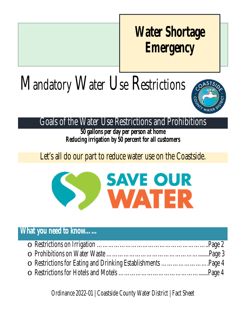## **Water Shortage Emergency**

# Mandatory Water Use Restrictions



#### Goals of the Water Use Restrictions and Prohibitions

**50 gallons per day per person at home Reducing irrigation by 50 percent for all customers**

#### Let's all do our part to reduce water use on the Coastside.



#### **What you need to know……**

| ○ Restrictions for Eating and Drinking Establishments Page 4 |  |
|--------------------------------------------------------------|--|
|                                                              |  |

Ordinance 2022-01 | Coastside County Water District | Fact Sheet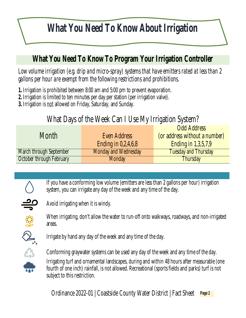## **What You Need To Know About Irrigation**

#### **What You Need To Know To Program Your Irrigation Controller**

*Low volume irrigation (e.g. drip and micro-spray) systems that have emitters rated at less than 2 gallons per hour are exempt from the following restrictions and prohibitions.*

**1.** Irrigation is prohibited between 8:00 am and 5:00 pm to prevent evaporation.

- **2.** Irrigation is limited to ten minutes per day per station (per irrigation valve).
- **3.** Irrigation is not allowed on Friday, Saturday, and Sunday.

#### What Days of the Week Can I Use My Irrigation System?

|                                |                       | <b>Odd Address</b>            |
|--------------------------------|-----------------------|-------------------------------|
| Month                          | <b>Even Address</b>   | (or address without a number) |
|                                | Ending in $0,2,4,6,8$ | <b>Ending in 1,3,5,7,9</b>    |
| <b>March through September</b> | Monday and Wednesday  | <b>Tuesday and Thursday</b>   |
| October through February       | <b>Monday</b>         | <b>Thursday</b>               |

If you have a conforming low volume (emitters are less than 2 gallons per hour) irrigation system, you can irrigate any day of the week and any time of the day.



Avoid irrigating when it is windy.

When irrigating, don't allow the water to run-off onto walkways, roadways, and non-irrigated areas.



Irrigate by hand any day of the week and any time of the day.

Conforming graywater systems can be used any day of the week and any time of the day.

Irrigating turf and ornamental landscapes, during and within 48 hours after measurable (one fourth of one inch) rainfall, is not allowed. Recreational (sports fields and parks) turf is not subject to this restriction.

Ordinance 2022-01 | Coastside County Water District | Fact Sheet **Page 2**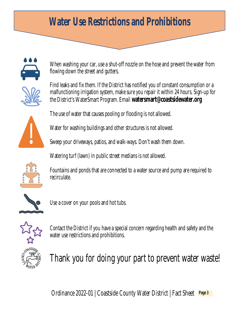### **Water Use Restrictions and Prohibitions**



When washing your car, use a shut-off nozzle on the hose and prevent the water from flowing down the street and gutters.

Find leaks and fix them. If the District has notified you of constant consumption or a malfunctioning irrigation system, make sure you repair it within 24 hours. Sign-up for the District's WaterSmart Program. Email **watersmart@coastsidewater.org**

The use of water that causes pooling or flooding is not allowed.

Water for washing buildings and other structures is not allowed.

Sweep your driveways, patios, and walk-ways. Don't wash them down.

Watering turf (lawn) in public street medians is not allowed.



Fountains and ponds that are connected to a water source and pump are required to recirculate.



Use a cover on your pools and hot tubs.



Contact the District if you have a special concern regarding health and safety and the water use restrictions and prohibitions.



Thank you for doing your part to prevent water waste!

Ordinance 2022-01 | Coastside County Water District | Fact Sheet **Page 3**